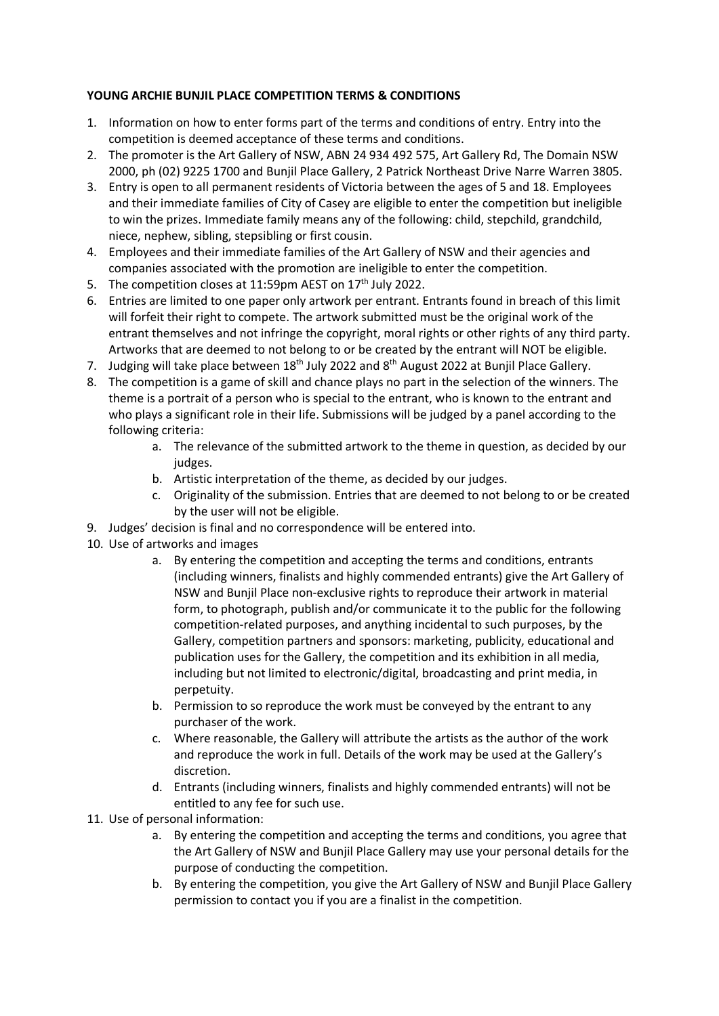## **YOUNG ARCHIE BUNJIL PLACE COMPETITION TERMS & CONDITIONS**

- 1. Information on how to enter forms part of the terms and conditions of entry. Entry into the competition is deemed acceptance of these terms and conditions.
- 2. The promoter is the Art Gallery of NSW, ABN 24 934 492 575, Art Gallery Rd, The Domain NSW 2000, ph (02) 9225 1700 and Bunjil Place Gallery, 2 Patrick Northeast Drive Narre Warren 3805.
- 3. Entry is open to all permanent residents of Victoria between the ages of 5 and 18. Employees and their immediate families of City of Casey are eligible to enter the competition but ineligible to win the prizes. Immediate family means any of the following: child, stepchild, grandchild, niece, nephew, sibling, stepsibling or first cousin.
- 4. Employees and their immediate families of the Art Gallery of NSW and their agencies and companies associated with the promotion are ineligible to enter the competition.
- 5. The competition closes at  $11:59$ pm AEST on  $17<sup>th</sup>$  July 2022.
- 6. Entries are limited to one paper only artwork per entrant. Entrants found in breach of this limit will forfeit their right to compete. The artwork submitted must be the original work of the entrant themselves and not infringe the copyright, moral rights or other rights of any third party. Artworks that are deemed to not belong to or be created by the entrant will NOT be eligible.
- 7. Judging will take place between 18<sup>th</sup> July 2022 and 8<sup>th</sup> August 2022 at Bunjil Place Gallery.
- 8. The competition is a game of skill and chance plays no part in the selection of the winners. The theme is a portrait of a person who is special to the entrant, who is known to the entrant and who plays a significant role in their life. Submissions will be judged by a panel according to the following criteria:
	- a. The relevance of the submitted artwork to the theme in question, as decided by our judges.
	- b. Artistic interpretation of the theme, as decided by our judges.
	- c. Originality of the submission. Entries that are deemed to not belong to or be created by the user will not be eligible.
- 9. Judges' decision is final and no correspondence will be entered into.
- 10. Use of artworks and images
	- a. By entering the competition and accepting the terms and conditions, entrants (including winners, finalists and highly commended entrants) give the Art Gallery of NSW and Bunjil Place non-exclusive rights to reproduce their artwork in material form, to photograph, publish and/or communicate it to the public for the following competition-related purposes, and anything incidental to such purposes, by the Gallery, competition partners and sponsors: marketing, publicity, educational and publication uses for the Gallery, the competition and its exhibition in all media, including but not limited to electronic/digital, broadcasting and print media, in perpetuity.
	- b. Permission to so reproduce the work must be conveyed by the entrant to any purchaser of the work.
	- c. Where reasonable, the Gallery will attribute the artists as the author of the work and reproduce the work in full. Details of the work may be used at the Gallery's discretion.
	- d. Entrants (including winners, finalists and highly commended entrants) will not be entitled to any fee for such use.
- 11. Use of personal information:
	- a. By entering the competition and accepting the terms and conditions, you agree that the Art Gallery of NSW and Bunjil Place Gallery may use your personal details for the purpose of conducting the competition.
	- b. By entering the competition, you give the Art Gallery of NSW and Bunjil Place Gallery permission to contact you if you are a finalist in the competition.